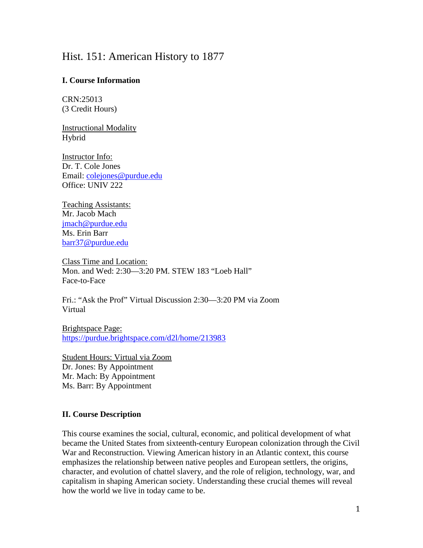# Hist. 151: American History to 1877

# **I. Course Information**

CRN:25013 (3 Credit Hours)

Instructional Modality Hybrid

Instructor Info: Dr. T. Cole Jones Email: [colejones@purdue.edu](mailto:colejones@purdue.edu) Office: UNIV 222

Teaching Assistants: Mr. Jacob Mach [jmach@purdue.edu](mailto:jmach@purdue.edu) Ms. Erin Barr [barr37@purdue.edu](mailto:barr37@purdue.edu)

Class Time and Location: Mon. and Wed: 2:30—3:20 PM. STEW 183 "Loeb Hall" Face-to-Face

Fri.: "Ask the Prof" Virtual Discussion 2:30—3:20 PM via Zoom Virtual

Brightspace Page: <https://purdue.brightspace.com/d2l/home/213983>

Student Hours: Virtual via Zoom Dr. Jones: By Appointment Mr. Mach: By Appointment Ms. Barr: By Appointment

# **II. Course Description**

This course examines the social, cultural, economic, and political development of what became the United States from sixteenth-century European colonization through the Civil War and Reconstruction. Viewing American history in an Atlantic context, this course emphasizes the relationship between native peoples and European settlers, the origins, character, and evolution of chattel slavery, and the role of religion, technology, war, and capitalism in shaping American society. Understanding these crucial themes will reveal how the world we live in today came to be.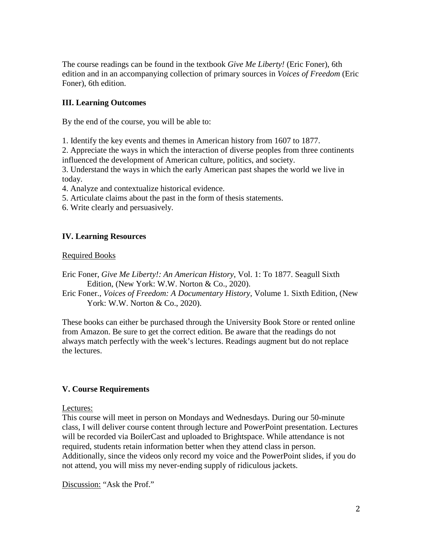The course readings can be found in the textbook *Give Me Liberty!* (Eric Foner), 6th edition and in an accompanying collection of primary sources in *Voices of Freedom* (Eric Foner), 6th edition.

# **III. Learning Outcomes**

By the end of the course, you will be able to:

1. Identify the key events and themes in American history from 1607 to 1877.

2. Appreciate the ways in which the interaction of diverse peoples from three continents influenced the development of American culture, politics, and society.

3. Understand the ways in which the early American past shapes the world we live in today.

4. Analyze and contextualize historical evidence.

5. Articulate claims about the past in the form of thesis statements.

6. Write clearly and persuasively.

# **IV. Learning Resources**

### Required Books

Eric Foner, *Give Me Liberty!: An American History*, Vol. 1: To 1877. Seagull Sixth Edition, (New York: W.W. Norton & Co., 2020).

Eric Foner., *Voices of Freedom: A Documentary History,* Volume 1*.* Sixth Edition, (New York: W.W. Norton & Co., 2020).

These books can either be purchased through the University Book Store or rented online from Amazon. Be sure to get the correct edition. Be aware that the readings do not always match perfectly with the week's lectures. Readings augment but do not replace the lectures.

# **V. Course Requirements**

Lectures:

This course will meet in person on Mondays and Wednesdays. During our 50-minute class, I will deliver course content through lecture and PowerPoint presentation. Lectures will be recorded via BoilerCast and uploaded to Brightspace. While attendance is not required, students retain information better when they attend class in person. Additionally, since the videos only record my voice and the PowerPoint slides, if you do not attend, you will miss my never-ending supply of ridiculous jackets.

Discussion: "Ask the Prof."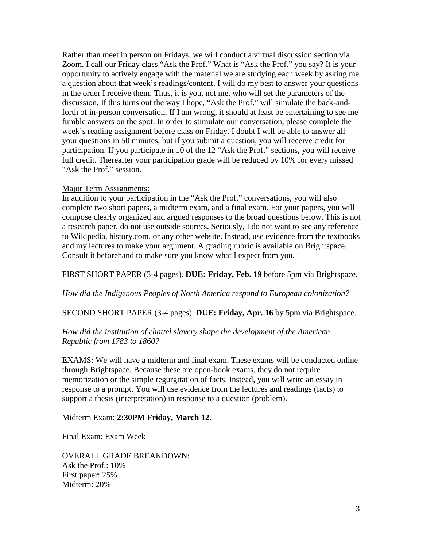Rather than meet in person on Fridays, we will conduct a virtual discussion section via Zoom. I call our Friday class "Ask the Prof." What is "Ask the Prof." you say? It is your opportunity to actively engage with the material we are studying each week by asking me a question about that week's readings/content. I will do my best to answer your questions in the order I receive them. Thus, it is you, not me, who will set the parameters of the discussion. If this turns out the way I hope, "Ask the Prof." will simulate the back-andforth of in-person conversation. If I am wrong, it should at least be entertaining to see me fumble answers on the spot. In order to stimulate our conversation, please complete the week's reading assignment before class on Friday. I doubt I will be able to answer all your questions in 50 minutes, but if you submit a question, you will receive credit for participation. If you participate in 10 of the 12 "Ask the Prof." sections, you will receive full credit. Thereafter your participation grade will be reduced by 10% for every missed "Ask the Prof." session.

### Major Term Assignments:

In addition to your participation in the "Ask the Prof." conversations, you will also complete two short papers, a midterm exam, and a final exam. For your papers, you will compose clearly organized and argued responses to the broad questions below. This is not a research paper, do not use outside sources. Seriously, I do not want to see any reference to Wikipedia, history.com, or any other website. Instead, use evidence from the textbooks and my lectures to make your argument. A grading rubric is available on Brightspace. Consult it beforehand to make sure you know what I expect from you.

FIRST SHORT PAPER (3-4 pages). **DUE: Friday, Feb. 19** before 5pm via Brightspace.

*How did the Indigenous Peoples of North America respond to European colonization?*

SECOND SHORT PAPER (3-4 pages). **DUE: Friday, Apr. 16** by 5pm via Brightspace.

# *How did the institution of chattel slavery shape the development of the American Republic from 1783 to 1860?*

EXAMS: We will have a midterm and final exam. These exams will be conducted online through Brightspace. Because these are open-book exams, they do not require memorization or the simple regurgitation of facts. Instead, you will write an essay in response to a prompt. You will use evidence from the lectures and readings (facts) to support a thesis (interpretation) in response to a question (problem).

Midterm Exam: **2:30PM Friday, March 12.**

Final Exam: Exam Week

OVERALL GRADE BREAKDOWN: Ask the Prof.: 10% First paper: 25% Midterm: 20%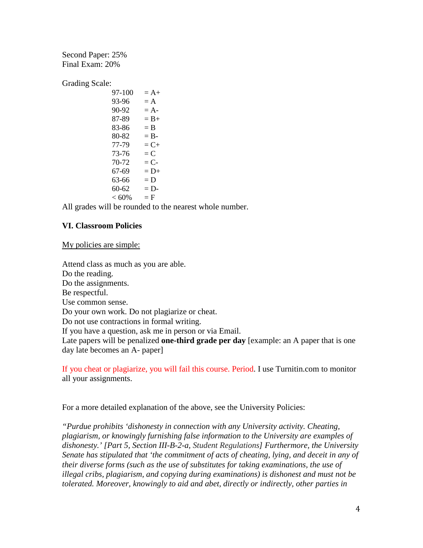Second Paper: 25% Final Exam: 20%

Grading Scale:

 $97-100 = A+$  $93-96 = A$  $90-92 = A$  $87-89 = B+$  $83-86 = B$  $80-82 = B 77-79 = C+$  $73-76 = C$  $70-72 = C$  $67-69 = D+$  $63-66 = D$  $60-62 = D < 60\%$  = F

All grades will be rounded to the nearest whole number.

# **VI. Classroom Policies**

My policies are simple:

Attend class as much as you are able. Do the reading. Do the assignments. Be respectful. Use common sense. Do your own work. Do not plagiarize or cheat. Do not use contractions in formal writing. If you have a question, ask me in person or via Email. Late papers will be penalized **one-third grade per day** [example: an A paper that is one day late becomes an A- paper]

If you cheat or plagiarize, you will fail this course. Period. I use Turnitin.com to monitor all your assignments.

For a more detailed explanation of the above, see the University Policies:

*"Purdue prohibits 'dishonesty in connection with any University activity. Cheating, plagiarism, or knowingly furnishing false information to the University are examples of dishonesty.' [Part 5, Section III-B-2-a, [Student Regulations\]](http://www.purdue.edu/univregs/) Furthermore, the University Senate has stipulated that 'the commitment of acts of cheating, lying, and deceit in any of their diverse forms (such as the use of substitutes for taking examinations, the use of illegal cribs, plagiarism, and copying during examinations) is dishonest and must not be tolerated. Moreover, knowingly to aid and abet, directly or indirectly, other parties in*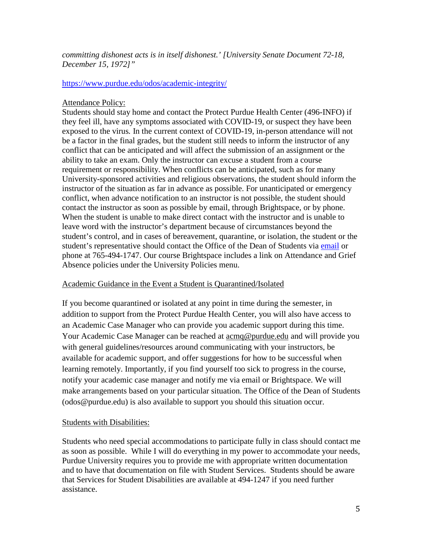# *committing dishonest acts is in itself dishonest.' [University Senate Document 72-18, December 15, 1972]"*

### <https://www.purdue.edu/odos/academic-integrity/>

# Attendance Policy:

Students should stay home and contact the Protect Purdue Health Center (496-INFO) if they feel ill, have any symptoms associated with COVID-19, or suspect they have been exposed to the virus*.* In the current context of COVID-19, in-person attendance will not be a factor in the final grades, but the student still needs to inform the instructor of any conflict that can be anticipated and will affect the submission of an assignment or the ability to take an exam. Only the instructor can excuse a student from a course requirement or responsibility. When conflicts can be anticipated, such as for many University-sponsored activities and religious observations, the student should inform the instructor of the situation as far in advance as possible. For unanticipated or emergency conflict, when advance notification to an instructor is not possible, the student should contact the instructor as soon as possible by email, through Brightspace, or by phone. When the student is unable to make direct contact with the instructor and is unable to leave word with the instructor's department because of circumstances beyond the student's control, and in cases of bereavement, quarantine, or isolation, the student or the student's representative should contact the Office of the Dean of Students via [email](mailto:odos@purdue.edu%20?subject=Student%20Bereavement%20Needs) or phone at 765-494-1747. Our course Brightspace includes a link on Attendance and Grief Absence policies under the University Policies menu.

# Academic Guidance in the Event a Student is Quarantined/Isolated

If you become quarantined or isolated at any point in time during the semester, in addition to support from the Protect Purdue Health Center, you will also have access to an Academic Case Manager who can provide you academic support during this time. Your Academic Case Manager can be reached at [acmq@purdue.edu](mailto:acmq@purdue.edu) and will provide you with general guidelines/resources around communicating with your instructors, be available for academic support, and offer suggestions for how to be successful when learning remotely. Importantly, if you find yourself too sick to progress in the course, notify your academic case manager and notify me via email or Brightspace. We will make arrangements based on your particular situation. The Office of the Dean of Students (odos@purdue.edu) is also available to support you should this situation occur.

# Students with Disabilities:

Students who need special accommodations to participate fully in class should contact me as soon as possible. While I will do everything in my power to accommodate your needs, Purdue University requires you to provide me with appropriate written documentation and to have that documentation on file with Student Services. Students should be aware that Services for Student Disabilities are available at 494-1247 if you need further assistance.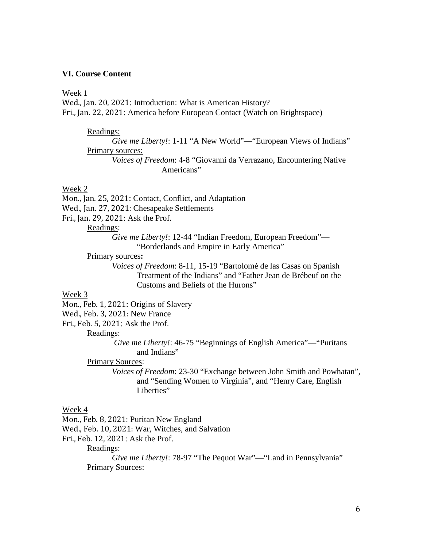### **VI. Course Content**

#### Week 1

Wed., Jan. 20, 2021: Introduction: What is American History? Fri., Jan. 22, 2021: America before European Contact (Watch on Brightspace)

#### Readings:

*Give me Liberty!*: 1-11 "A New World"— "European Views of Indians" Primary sources:

*Voices of Freedom*: 4-8 "Giovanni da Verrazano, Encountering Native Americans"

#### Week 2

Mon., Jan. 25, 2021: Contact, Conflict, and Adaptation Wed., Jan. 27, 2021: Chesapeake Settlements Fri., Jan. 29, 2021: Ask the Prof.

### Readings:

*Give me Liberty!*: 12-44 "Indian Freedom, European Freedom"— "Borderlands and Empire in Early America"

### Primary sources**:**

*Voices of Freedom*: 8-11, 15-19 "Bartolomé de las Casas on Spanish Treatment of the Indians" and "Father Jean de Brébeuf on the Customs and Beliefs of the Hurons"

### Week 3

Mon., Feb. 1, 2021: Origins of Slavery

Wed., Feb. 3, 2021: New France

Fri., Feb. 5, 2021: Ask the Prof.

### Readings:

*Give me Liberty!*: 46-75 "Beginnings of English America"—"Puritans and Indians"

### Primary Sources:

*Voices of Freedom*: 23-30 "Exchange between John Smith and Powhatan", and "Sending Women to Virginia", and "Henry Care, English Liberties"

#### Week 4

Mon., Feb. 8, 2021: Puritan New England

Wed., Feb. 10, 2021: War, Witches, and Salvation

Fri., Feb. 12, 2021: Ask the Prof.

Readings:

*Give me Liberty!*: 78-97 "The Pequot War"—"Land in Pennsylvania" Primary Sources: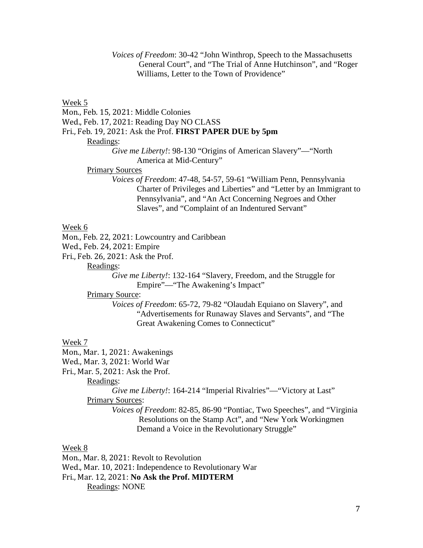*Voices of Freedom*: 30-42 "John Winthrop, Speech to the Massachusetts General Court", and "The Trial of Anne Hutchinson", and "Roger Williams, Letter to the Town of Providence"

Week 5

Mon., Feb. 15, 2021: Middle Colonies

Wed., Feb. 17, 2021: Reading Day NO CLASS

Fri., Feb. 19, 2021: Ask the Prof. **FIRST PAPER DUE by 5pm**

Readings:

*Give me Liberty!*: 98-130 "Origins of American Slavery"—"North America at Mid-Century"

### Primary Sources

*Voices of Freedom*: 47-48, 54-57, 59-61 "William Penn, Pennsylvania Charter of Privileges and Liberties" and "Letter by an Immigrant to Pennsylvania", and "An Act Concerning Negroes and Other Slaves", and "Complaint of an Indentured Servant"

### Week 6

Mon., Feb. 22, 2021: Lowcountry and Caribbean

Wed., Feb. 24, 2021: Empire

Fri., Feb. 26, 2021: Ask the Prof.

Readings:

*Give me Liberty!*: 132-164 "Slavery, Freedom, and the Struggle for Empire"—"The Awakening's Impact"

# Primary Source:

*Voices of Freedom*: 65-72, 79-82 "Olaudah Equiano on Slavery", and "Advertisements for Runaway Slaves and Servants", and "The Great Awakening Comes to Connecticut"

### Week 7

Mon., Mar. 1, 2021: Awakenings

Wed., Mar. 3, 2021: World War

Fri., Mar. 5, 2021: Ask the Prof.

Readings:

*Give me Liberty!*: 164-214 "Imperial Rivalries"—"Victory at Last" Primary Sources:

> *Voices of Freedom*: 82-85, 86-90 "Pontiac, Two Speeches", and "Virginia Resolutions on the Stamp Act", and "New York Workingmen Demand a Voice in the Revolutionary Struggle"

### Week 8

Mon., Mar. 8, 2021: Revolt to Revolution

Wed., Mar. 10, 2021: Independence to Revolutionary War

Fri., Mar. 12, 2021: **No Ask the Prof. MIDTERM**

Readings: NONE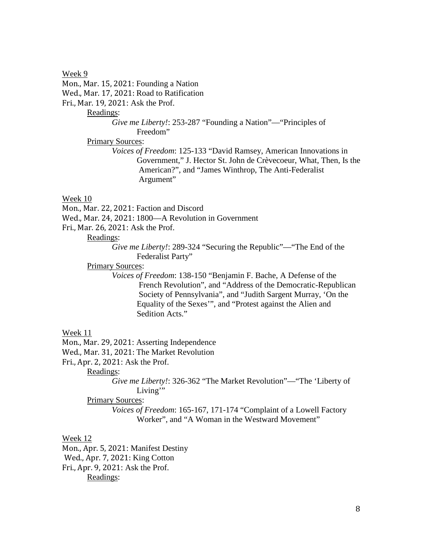Week 9 Mon., Mar. 15, 2021: Founding a Nation Wed., Mar. 17, 2021: Road to Ratification Fri., Mar. 19, 2021: Ask the Prof.

Readings:

*Give me Liberty!*: 253-287 "Founding a Nation"— "Principles of Freedom"

Primary Sources:

*Voices of Freedom*: 125-133 "David Ramsey, American Innovations in Government," J. Hector St. John de Crèvecoeur, What, Then, Is the American?", and "James Winthrop, The Anti-Federalist Argument"

#### Week 10

Mon., Mar. 22, 2021: Faction and Discord

Wed., Mar. 24, 2021: 1800—A Revolution in Government

Fri., Mar. 26, 2021: Ask the Prof.

### Readings:

*Give me Liberty!*: 289-324 "Securing the Republic"—"The End of the Federalist Party"

**Primary Sources:** 

*Voices of Freedom*: 138-150 "Benjamin F. Bache, A Defense of the French Revolution", and "Address of the Democratic-Republican Society of Pennsylvania", and "Judith Sargent Murray, 'On the Equality of the Sexes'", and "Protest against the Alien and Sedition Acts."

#### Week 11

Mon., Mar. 29, 2021: Asserting Independence

Wed., Mar. 31, 2021: The Market Revolution

Fri., Apr. 2, 2021: Ask the Prof.

Readings:

*Give me Liberty!*: 326-362 "The Market Revolution"—"The 'Liberty of Living"

Primary Sources:

*Voices of Freedom*: 165-167, 171-174 "Complaint of a Lowell Factory Worker", and "A Woman in the Westward Movement"

### Week 12

Mon., Apr. 5, 2021: Manifest Destiny Wed., Apr. 7, 2021: King Cotton Fri., Apr. 9, 2021: Ask the Prof. Readings: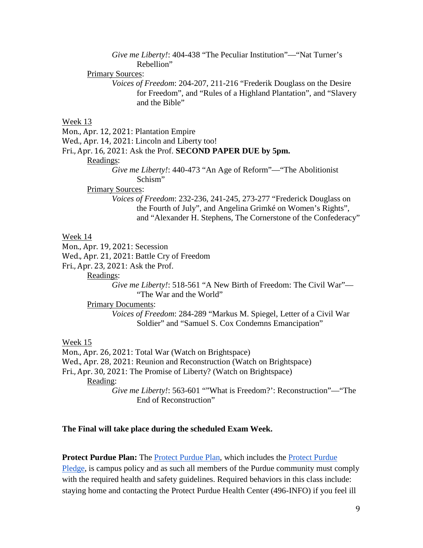*Give me Liberty!*: 404-438 "The Peculiar Institution"— "Nat Turner's Rebellion"

#### Primary Sources:

*Voices of Freedom*: 204-207, 211-216 "Frederik Douglass on the Desire for Freedom", and "Rules of a Highland Plantation", and "Slavery and the Bible"

### Week 13

Mon., Apr. 12, 2021: Plantation Empire

Wed., Apr. 14, 2021: Lincoln and Liberty too!

### Fri., Apr. 16, 2021: Ask the Prof. **SECOND PAPER DUE by 5pm.**

#### Readings:

*Give me Liberty!*: 440-473 "An Age of Reform"—"The Abolitionist Schism"

#### Primary Sources:

*Voices of Freedom*: 232-236, 241-245, 273-277 "Frederick Douglass on the Fourth of July", and Angelina Grimké on Women's Rights", and "Alexander H. Stephens, The Cornerstone of the Confederacy"

#### Week 14

Mon., Apr. 19, 2021: Secession

Wed., Apr. 21, 2021: Battle Cry of Freedom

Fri., Apr. 23, 2021: Ask the Prof.

Readings:

*Give me Liberty!*: 518-561 "A New Birth of Freedom: The Civil War"— "The War and the World"

Primary Documents:

*Voices of Freedom*: 284-289 "Markus M. Spiegel, Letter of a Civil War Soldier" and "Samuel S. Cox Condemns Emancipation"

# Week 15

Mon., Apr. 26, 2021: Total War (Watch on Brightspace) Wed., Apr. 28, 2021: Reunion and Reconstruction (Watch on Brightspace) Fri., Apr. 30, 2021: The Promise of Liberty? (Watch on Brightspace) Reading: *Give me Liberty!*: 563-601 ""What is Freedom?': Reconstruction"—"The End of Reconstruction"

#### **The Final will take place during the scheduled Exam Week.**

# **Protect Purdue Plan:** The [Protect Purdue Plan,](https://protect.purdue.edu/plan/) which includes the [Protect Purdue](https://protect.purdue.edu/pledge/?_ga=2.210401429.1213937682.1590527202-1814553957.1589408073)

[Pledge,](https://protect.purdue.edu/pledge/?_ga=2.210401429.1213937682.1590527202-1814553957.1589408073) is campus policy and as such all members of the Purdue community must comply with the required health and safety guidelines. Required behaviors in this class include: staying home and contacting the Protect Purdue Health Center (496-INFO) if you feel ill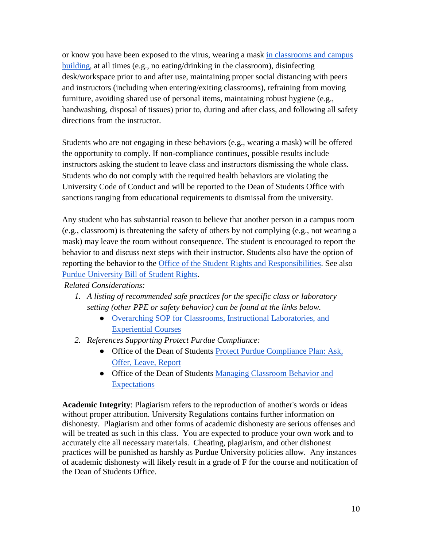or know you have been exposed to the virus, wearing a mask [in classrooms and campus](https://protect.purdue.edu/updates/face-covering-protocols/)  [building,](https://protect.purdue.edu/updates/face-covering-protocols/) at all times (e.g., no eating/drinking in the classroom), disinfecting desk/workspace prior to and after use, maintaining proper social distancing with peers and instructors (including when entering/exiting classrooms), refraining from moving furniture, avoiding shared use of personal items, maintaining robust hygiene (e.g., handwashing, disposal of tissues) prior to, during and after class, and following all safety directions from the instructor.

Students who are not engaging in these behaviors (e.g., wearing a mask) will be offered the opportunity to comply. If non-compliance continues, possible results include instructors asking the student to leave class and instructors dismissing the whole class. Students who do not comply with the required health behaviors are violating the University Code of Conduct and will be reported to the Dean of Students Office with sanctions ranging from educational requirements to dismissal from the university.

Any student who has substantial reason to believe that another person in a campus room (e.g., classroom) is threatening the safety of others by not complying (e.g., not wearing a mask) may leave the room without consequence. The student is encouraged to report the behavior to and discuss next steps with their instructor. Students also have the option of reporting the behavior to the [Office of the Student Rights and Responsibilities.](https://www.purdue.edu/odos/osrr/) See also [Purdue University Bill of Student Rights.](https://catalog.purdue.edu/content.php?catoid=7&navoid=2852#purdue-university-bill-of-student-rights)

*Related Considerations:*

- *1. A listing of recommended safe practices for the specific class or laboratory setting (other PPE or safety behavior) can be found at the links below.*
	- [Overarching SOP for Classrooms, Instructional Laboratories, and](https://www.purdue.edu/innovativelearning/teaching-remotely/files/resources/SOP_Class_Lab_Experiential_Course_200723.pdf)  [Experiential Courses](https://www.purdue.edu/innovativelearning/teaching-remotely/files/resources/SOP_Class_Lab_Experiential_Course_200723.pdf)
- *2. References Supporting Protect Purdue Compliance:*
	- Office of the Dean of Students Protect Purdue Compliance Plan: Ask, [Offer, Leave,](https://www.purdue.edu/odos/protect/compliance-plan.html) Report
	- Office of the Dean of Students Managing Classroom Behavior and **Expectations**

**Academic Integrity**: Plagiarism refers to the reproduction of another's words or ideas without proper attribution. University Regulations contains further information on dishonesty. Plagiarism and other forms of academic dishonesty are serious offenses and will be treated as such in this class. You are expected to produce your own work and to accurately cite all necessary materials. Cheating, plagiarism, and other dishonest practices will be punished as harshly as Purdue University policies allow. Any instances of academic dishonesty will likely result in a grade of F for the course and notification of the Dean of Students Office.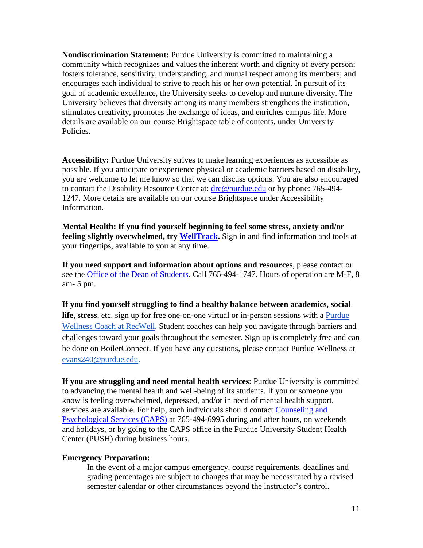**Nondiscrimination Statement:** Purdue University is committed to maintaining a community which recognizes and values the inherent worth and dignity of every person; fosters tolerance, sensitivity, understanding, and mutual respect among its members; and encourages each individual to strive to reach his or her own potential. In pursuit of its goal of academic excellence, the University seeks to develop and nurture diversity. The University believes that diversity among its many members strengthens the institution, stimulates creativity, promotes the exchange of ideas, and enriches campus life. More details are available on our course Brightspace table of contents, under University Policies.

**Accessibility:** Purdue University strives to make learning experiences as accessible as possible. If you anticipate or experience physical or academic barriers based on disability, you are welcome to let me know so that we can discuss options. You are also encouraged to contact the Disability Resource Center at: [drc@purdue.edu](mailto:drc@purdue.edu) or by phone: 765-494-1247. More details are available on our course Brightspace under Accessibility Information.

**Mental Health: If you find yourself beginning to feel some stress, anxiety and/or feeling slightly overwhelmed, try [WellTrack.](https://purdue.welltrack.com/)** Sign in and find information and tools at your fingertips, available to you at any time.

**If you need support and information about options and resources**, please contact or see the [Office of the Dean](http://www.purdue.edu/odos) of Students. Call 765-494-1747. Hours of operation are M-F, 8 am- 5 pm.

**If you find yourself struggling to find a healthy balance between academics, social life, stress**, etc. sign up for free one-on-one virtual or in-person sessions with a [Purdue](https://www.purdue.edu/recwell/fitness-wellness/wellness/one-on-one-coaching/wellness-coaching.php)  [Wellness Coach at RecWell.](https://www.purdue.edu/recwell/fitness-wellness/wellness/one-on-one-coaching/wellness-coaching.php) Student coaches can help you navigate through barriers and challenges toward your goals throughout the semester. Sign up is completely free and can be done on BoilerConnect. If you have any questions, please contact Purdue Wellness at [evans240@purdue.edu.](mailto:evans240@purdue.edu)

**If you are struggling and need mental health services**: Purdue University is committed to advancing the mental health and well-being of its students. If you or someone you know is feeling overwhelmed, depressed, and/or in need of mental health support, services are available. For help, such individuals should contact [Counseling and](https://www.purdue.edu/caps/)  [Psychological Services \(CAPS\)](https://www.purdue.edu/caps/) at 765-494-6995 during and after hours, on weekends and holidays, or by going to the CAPS office in the Purdue University Student Health Center (PUSH) during business hours.

# **Emergency Preparation:**

In the event of a major campus emergency, course requirements, deadlines and grading percentages are subject to changes that may be necessitated by a revised semester calendar or other circumstances beyond the instructor's control.